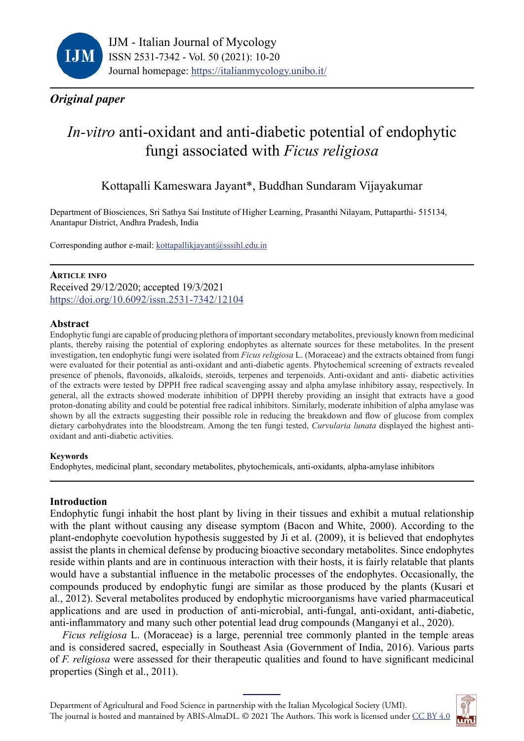

## *Original paper*

# *In-vitro* anti-oxidant and anti-diabetic potential of endophytic fungi associated with *Ficus religiosa*

## Kottapalli Kameswara Jayant\*, Buddhan Sundaram Vijayakumar

Department of Biosciences, Sri Sathya Sai Institute of Higher Learning, Prasanthi Nilayam, Puttaparthi- 515134, Anantapur District, Andhra Pradesh, India

Corresponding author e-mail: [kottapallikjayant@sssihl.edu.in](mailto:kottapallikjayant%40sssihl.edu.in?subject=kottapallikjayant%40sssihl.edu.in)

## **Article info**

Received 29/12/2020; accepted 19/3/2021 https://doi.org[/10.6092/issn.2531-7342/1](https://doi.org/10.6092/issn.2531-7342/12104)2104

### **Abstract**

Endophytic fungi are capable of producing plethora of important secondary metabolites, previously known from medicinal plants, thereby raising the potential of exploring endophytes as alternate sources for these metabolites. In the present investigation, ten endophytic fungi were isolated from *Ficus religiosa* L. (Moraceae) and the extracts obtained from fungi were evaluated for their potential as anti-oxidant and anti-diabetic agents. Phytochemical screening of extracts revealed presence of phenols, flavonoids, alkaloids, steroids, terpenes and terpenoids. Anti-oxidant and anti- diabetic activities of the extracts were tested by DPPH free radical scavenging assay and alpha amylase inhibitory assay, respectively. In general, all the extracts showed moderate inhibition of DPPH thereby providing an insight that extracts have a good proton-donating ability and could be potential free radical inhibitors. Similarly, moderate inhibition of alpha amylase was shown by all the extracts suggesting their possible role in reducing the breakdown and flow of glucose from complex dietary carbohydrates into the bloodstream. Among the ten fungi tested, *Curvularia lunata* displayed the highest antioxidant and anti-diabetic activities.

#### **Keywords**

Endophytes, medicinal plant, secondary metabolites, phytochemicals, anti-oxidants, alpha-amylase inhibitors

## **Introduction**

Endophytic fungi inhabit the host plant by living in their tissues and exhibit a mutual relationship with the plant without causing any disease symptom (Bacon and White, 2000). According to the plant-endophyte coevolution hypothesis suggested by Ji et al. (2009), it is believed that endophytes assist the plants in chemical defense by producing bioactive secondary metabolites. Since endophytes reside within plants and are in continuous interaction with their hosts, it is fairly relatable that plants would have a substantial influence in the metabolic processes of the endophytes. Occasionally, the compounds produced by endophytic fungi are similar as those produced by the plants (Kusari et al., 2012). Several metabolites produced by endophytic microorganisms have varied pharmaceutical applications and are used in production of anti-microbial, anti-fungal, anti-oxidant, anti-diabetic, anti-inflammatory and many such other potential lead drug compounds (Manganyi et al., 2020).

*Ficus religiosa* L. (Moraceae) is a large, perennial tree commonly planted in the temple areas and is considered sacred, especially in Southeast Asia (Government of India, 2016). Various parts of *F. religiosa* were assessed for their therapeutic qualities and found to have significant medicinal properties (Singh et al., 2011).

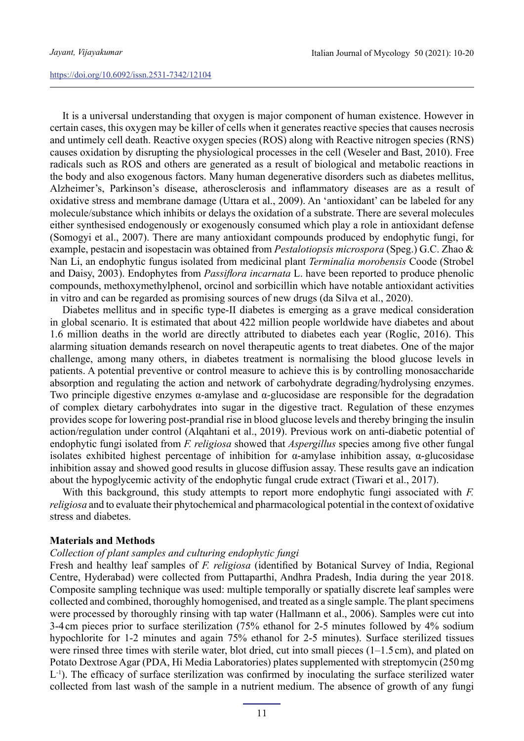It is a universal understanding that oxygen is major component of human existence. However in certain cases, this oxygen may be killer of cells when it generates reactive species that causes necrosis and untimely cell death. Reactive oxygen species (ROS) along with Reactive nitrogen species (RNS) causes oxidation by disrupting the physiological processes in the cell [\(Weseler and Bast, 2010](https://www.sciencedirect.com/science/article/pii/S1319016415000766)). Free radicals such as ROS and others are generated as a result of biological and metabolic reactions in the body and also exogenous factors. Many human degenerative disorders such as diabetes mellitus, Alzheimer's, Parkinson's disease, atherosclerosis and inflammatory diseases are as a result of oxidative stress and membrane damage (Uttara et al., 2009). An 'antioxidant' can be labeled for any molecule/substance which inhibits or delays the oxidation of a substrate. There are several molecules either synthesised endogenously or exogenously consumed which play a role in antioxidant defense (Somogyi et al., 2007). There are many antioxidant compounds produced by endophytic fungi, for example, pestacin and isopestacin was obtained from *Pestalotiopsis microspora* (Speg.) G.C. Zhao & Nan Li, an endophytic fungus isolated from medicinal plant *Terminalia morobensis* Coode (Strobel and Daisy, 2003). Endophytes from *Passiflora incarnata* L. have been reported to produce phenolic compounds, methoxymethylphenol, orcinol and sorbicillin which have notable antioxidant activities in vitro and can be regarded as promising sources of new drugs (da Silva et al., 2020).

Diabetes mellitus and in specific type-II diabetes is emerging as a grave medical consideration in global scenario. It is estimated that about 422 million people worldwide have diabetes and about 1.6 million deaths in the world are directly attributed to diabetes each year (Roglic, 2016). This alarming situation demands research on novel therapeutic agents to treat diabetes. One of the major challenge, among many others, in diabetes treatment is normalising the blood glucose levels in patients. A potential preventive or control measure to achieve this is by controlling monosaccharide absorption and regulating the action and network of carbohydrate degrading/hydrolysing enzymes. Two principle digestive enzymes  $\alpha$ -amylase and  $\alpha$ -glucosidase are responsible for the degradation of complex dietary carbohydrates into sugar in the digestive tract. Regulation of these enzymes provides scope for lowering post-prandial rise in blood glucose levels and thereby bringing the insulin action/regulation under control (Alqahtani et al., 2019). Previous work on anti-diabetic potential of endophytic fungi isolated from *F. religiosa* showed that *Aspergillus* species among five other fungal isolates exhibited highest percentage of inhibition for  $\alpha$ -amylase inhibition assay,  $\alpha$ -glucosidase inhibition assay and showed good results in glucose diffusion assay. These results gave an indication about the hypoglycemic activity of the endophytic fungal crude extract (Tiwari et al., 2017).

With this background, this study attempts to report more endophytic fungi associated with *F. religiosa* and to evaluate their phytochemical and pharmacological potential in the context of oxidative stress and diabetes.

#### **Materials and Methods**

## *Collection of plant samples and culturing endophytic fungi*

Fresh and healthy leaf samples of *F. religiosa* (identified by Botanical Survey of India, Regional Centre, Hyderabad) were collected from Puttaparthi, Andhra Pradesh, India during the year 2018. Composite sampling technique was used: multiple temporally or spatially discrete leaf samples were collected and combined, thoroughly homogenised, and treated as a single sample. The plant specimens were processed by thoroughly rinsing with tap water (Hallmann et al., 2006). Samples were cut into 3-4 cm pieces prior to surface sterilization (75% ethanol for 2-5 minutes followed by 4% sodium hypochlorite for 1-2 minutes and again 75% ethanol for 2-5 minutes). Surface sterilized tissues were rinsed three times with sterile water, blot dried, cut into small pieces (1–1.5cm), and plated on Potato Dextrose Agar (PDA, Hi Media Laboratories) plates supplemented with streptomycin (250mg L<sup>-1</sup>). The efficacy of surface sterilization was confirmed by inoculating the surface sterilized water collected from last wash of the sample in a nutrient medium. The absence of growth of any fungi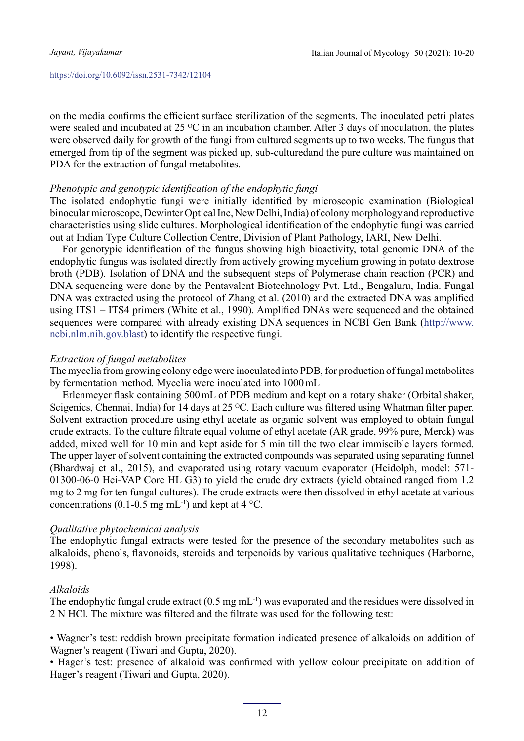on the media confirms the efficient surface sterilization of the segments. The inoculated petri plates were sealed and incubated at 25  $\rm{^{\circ}C}$  in an incubation chamber. After 3 days of inoculation, the plates were observed daily for growth of the fungi from cultured segments up to two weeks. The fungus that emerged from tip of the segment was picked up, sub-culturedand the pure culture was maintained on PDA for the extraction of fungal metabolites.

### *Phenotypic and genotypic identification of the endophytic fungi*

The isolated endophytic fungi were initially identified by microscopic examination (Biological binocular microscope, Dewinter Optical Inc, New Delhi, India) of colony morphology and reproductive characteristics using slide cultures. Morphological identification of the endophytic fungi was carried out at Indian Type Culture Collection Centre, Division of Plant Pathology, IARI, New Delhi.

For genotypic identification of the fungus showing high bioactivity, total genomic DNA of the endophytic fungus was isolated directly from actively growing mycelium growing in potato dextrose broth (PDB). Isolation of DNA and the subsequent steps of Polymerase chain reaction (PCR) and DNA sequencing were done by the Pentavalent Biotechnology Pvt. Ltd., Bengaluru, India. Fungal DNA was extracted using the protocol of Zhang et al. (2010) and the extracted DNA was amplified using ITS1 – ITS4 primers (White et al., 1990). Amplified DNAs were sequenced and the obtained sequences were compared with already existing DNA sequences in NCBI Gen Bank ([http://www.](http://www.ncbi.nlm.nih.gov.blast) [ncbi.nlm.nih.gov.blast](http://www.ncbi.nlm.nih.gov.blast)) to identify the respective fungi.

### *Extraction of fungal metabolites*

The mycelia from growing colony edge were inoculated into PDB, for production of fungal metabolites by fermentation method. Mycelia were inoculated into 1000mL

Erlenmeyer flask containing 500mL of PDB medium and kept on a rotary shaker (Orbital shaker, Scigenics, Chennai, India) for 14 days at 25 °C. Each culture was filtered using Whatman filter paper. Solvent extraction procedure using ethyl acetate as organic solvent was employed to obtain fungal crude extracts. To the culture filtrate equal volume of ethyl acetate (AR grade, 99% pure, Merck) was added, mixed well for 10 min and kept aside for 5 min till the two clear immiscible layers formed. The upper layer of solvent containing the extracted compounds was separated using separating funnel (Bhardwaj et al., 2015), and evaporated using rotary vacuum evaporator (Heidolph, model: 571- 01300-06-0 Hei-VAP Core HL G3) to yield the crude dry extracts (yield obtained ranged from 1.2 mg to 2 mg for ten fungal cultures). The crude extracts were then dissolved in ethyl acetate at various concentrations (0.1-0.5 mg mL<sup>-1</sup>) and kept at  $4^{\circ}$ C.

## *Qualitative phytochemical analysis*

The endophytic fungal extracts were tested for the presence of the secondary metabolites such as alkaloids, phenols, flavonoids, steroids and terpenoids by various qualitative techniques (Harborne, 1998).

## *Alkaloids*

The endophytic fungal crude extract  $(0.5 \text{ mg} \text{ mL}^{-1})$  was evaporated and the residues were dissolved in 2 N HCl. The mixture was filtered and the filtrate was used for the following test:

• Wagner's test: reddish brown precipitate formation indicated presence of alkaloids on addition of Wagner's reagent (Tiwari and Gupta, 2020).

• Hager's test: presence of alkaloid was confirmed with yellow colour precipitate on addition of Hager's reagent (Tiwari and Gupta, 2020).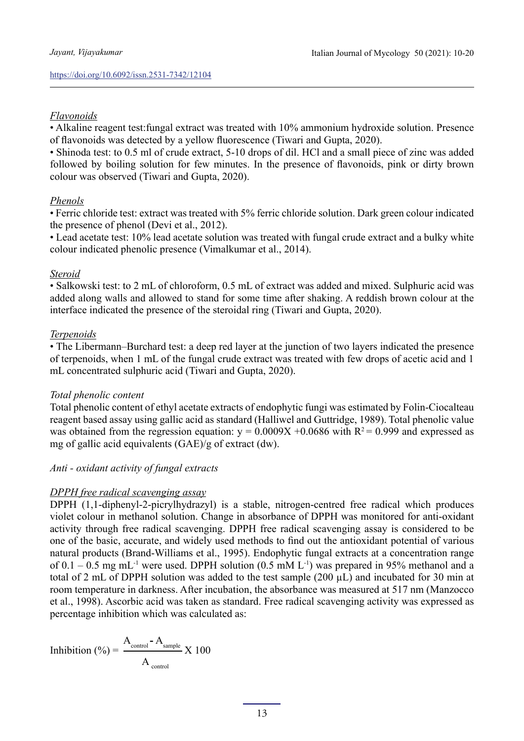## *Flavonoids*

• Alkaline reagent test:fungal extract was treated with 10% ammonium hydroxide solution. Presence of flavonoids was detected by a yellow fluorescence (Tiwari and Gupta, 2020).

• Shinoda test: to 0.5 ml of crude extract, 5-10 drops of dil. HCl and a small piece of zinc was added followed by boiling solution for few minutes. In the presence of flavonoids, pink or dirty brown colour was observed (Tiwari and Gupta, 2020).

## *Phenols*

• Ferric chloride test: extract was treated with 5% ferric chloride solution. Dark green colour indicated the presence of phenol (Devi et al., 2012).

• Lead acetate test: 10% lead acetate solution was treated with fungal crude extract and a bulky white colour indicated phenolic presence (Vimalkumar et al., 2014).

## *Steroid*

• Salkowski test: to 2 mL of chloroform, 0.5 mL of extract was added and mixed. Sulphuric acid was added along walls and allowed to stand for some time after shaking. A reddish brown colour at the interface indicated the presence of the steroidal ring (Tiwari and Gupta, 2020).

## *Terpenoids*

• The Libermann–Burchard test: a deep red layer at the junction of two layers indicated the presence of terpenoids, when 1 mL of the fungal crude extract was treated with few drops of acetic acid and 1 mL concentrated sulphuric acid (Tiwari and Gupta, 2020).

## *Total phenolic content*

Total phenolic content of ethyl acetate extracts of endophytic fungi was estimated by Folin-Ciocalteau reagent based assay using gallic acid as standard (Halliwel and Guttridge, 1989). Total phenolic value was obtained from the regression equation:  $y = 0.0009X + 0.0686$  with  $R^2 = 0.999$  and expressed as mg of gallic acid equivalents (GAE)/g of extract (dw).

## *Anti - oxidant activity of fungal extracts*

## *DPPH free radical scavenging assay*

DPPH (1,1-diphenyl-2-picrylhydrazyl) is a stable, nitrogen-centred free radical which produces violet colour in methanol solution. Change in absorbance of DPPH was monitored for anti-oxidant activity through free radical scavenging. DPPH free radical scavenging assay is considered to be one of the basic, accurate, and widely used methods to find out the antioxidant potential of various natural products (Brand-Williams et al., 1995). Endophytic fungal extracts at a concentration range of 0.1 – 0.5 mg mL<sup>-1</sup> were used. DPPH solution (0.5 mM L<sup>-1</sup>) was prepared in 95% methanol and a total of 2 mL of DPPH solution was added to the test sample (200 µL) and incubated for 30 min at room temperature in darkness. After incubation, the absorbance was measured at 517 nm (Manzocco et al., 1998). Ascorbic acid was taken as standard. Free radical scavenging activity was expressed as percentage inhibition which was calculated as:

$$
Inhibition (%) = \frac{A_{control} - A_{sample}}{A_{control}} \times 100
$$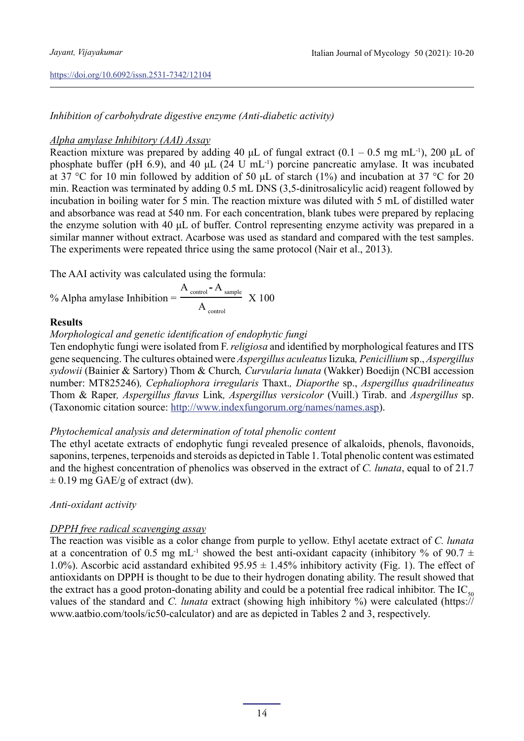## *Inhibition of carbohydrate digestive enzyme (Anti-diabetic activity)*

## *Alpha amylase Inhibitory (AAI) Assay*

Reaction mixture was prepared by adding 40 μL of fungal extract  $(0.1 - 0.5 \text{ mg} \text{ mL}^{-1})$ , 200 μL of phosphate buffer (pH 6.9), and 40  $\mu$ L (24 U mL<sup>-1</sup>) porcine pancreatic amylase. It was incubated at 37 °C for 10 min followed by addition of 50 μL of starch (1%) and incubation at 37 °C for 20 min. Reaction was terminated by adding 0.5 mL DNS (3,5-dinitrosalicylic acid) reagent followed by incubation in boiling water for 5 min. The reaction mixture was diluted with 5 mL of distilled water and absorbance was read at 540 nm. For each concentration, blank tubes were prepared by replacing the enzyme solution with 40 μL of buffer. Control representing enzyme activity was prepared in a similar manner without extract. Acarbose was used as standard and compared with the test samples. The experiments were repeated thrice using the same protocol (Nair et al., 2013).

The AAI activity was calculated using the formula:

% Alpha amylase Inhibition  $=$   $\frac{2.00 \times 100}{100 \times 100}$  X 100 A control **-** A sample  $A_{\text{control}}$ 

## **Results**

*Morphological and genetic identification of endophytic fungi*

Ten endophytic fungi were isolated from F. *religiosa* and identified by morphological features and ITS gene sequencing. The cultures obtained were *Aspergillus aculeatus* Iizuka*, Penicillium* sp., *Aspergillus sydowii* (Bainier & Sartory) Thom & Church*, Curvularia lunata* (Wakker) Boedijn (NCBI accession number: MT825246)*, Cephaliophora irregularis* Thaxt.*, Diaporthe* sp., *Aspergillus quadrilineatus*  Thom & Raper*, Aspergillus flavus* Link*, Aspergillus versicolor* (Vuill.) Tirab. and *Aspergillus* sp. (Taxonomic citation source: [http://www.indexfungorum.org/names/names.asp\)](http://www.indexfungorum.org/names/names.asp).

## *Phytochemical analysis and determination of total phenolic content*

The ethyl acetate extracts of endophytic fungi revealed presence of alkaloids, phenols, flavonoids, saponins, terpenes, terpenoids and steroids as depicted in Table 1. Total phenolic content was estimated and the highest concentration of phenolics was observed in the extract of *C. lunata*, equal to of 21.7  $\pm$  0.19 mg GAE/g of extract (dw).

## *Anti-oxidant activity*

## *DPPH free radical scavenging assay*

The reaction was visible as a color change from purple to yellow. Ethyl acetate extract of *C. lunata*  at a concentration of 0.5 mg mL<sup>-1</sup> showed the best anti-oxidant capacity (inhibitory % of 90.7  $\pm$ 1.0%). Ascorbic acid asstandard exhibited  $95.95 \pm 1.45\%$  inhibitory activity (Fig. 1). The effect of antioxidants on DPPH is thought to be due to their hydrogen donating ability. The result showed that the extract has a good proton-donating ability and could be a potential free radical inhibitor. The IC<sub>50</sub> values of the standard and *C. lunata* extract (showing high inhibitory %) were calculated (https:// www.aatbio.com/tools/ic50-calculator) and are as depicted in Tables 2 and 3, respectively.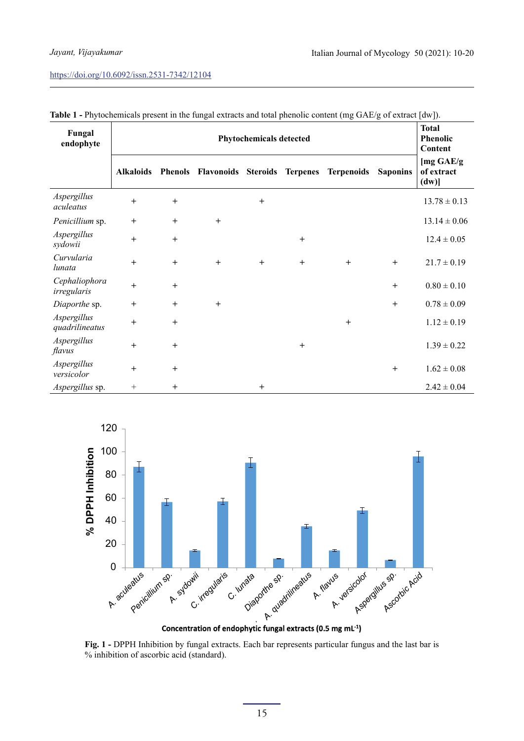| Fungal<br>endophyte           | <b>Phytochemicals detected</b> |        |        |        |              | <b>Total</b><br><b>Phenolic</b><br>Content      |                 |                                 |
|-------------------------------|--------------------------------|--------|--------|--------|--------------|-------------------------------------------------|-----------------|---------------------------------|
|                               | <b>Alkaloids</b>               |        |        |        |              | Phenols Flavonoids Steroids Terpenes Terpenoids | <b>Saponins</b> | [mg GAE/g<br>of extract<br>(dw) |
| Aspergillus<br>aculeatus      | $+$                            | $^{+}$ |        | $^{+}$ |              |                                                 |                 | $13.78 \pm 0.13$                |
| Penicillium sp.               | $^{+}$                         | $+$    | $+$    |        |              |                                                 |                 | $13.14 \pm 0.06$                |
| Aspergillus<br>sydowii        | $+$                            | $^{+}$ |        |        | $\mathrm{+}$ |                                                 |                 | $12.4 \pm 0.05$                 |
| Curvularia<br>lunata          | $+$                            | $^{+}$ | $^{+}$ | $^{+}$ | $^{+}$       | $+$                                             | $^{+}$          | $21.7 \pm 0.19$                 |
| Cephaliophora<br>irregularis  | $+$                            | $^{+}$ |        |        |              |                                                 | $^{+}$          | $0.80 \pm 0.10$                 |
| Diaporthe sp.                 | $^{+}$                         | $^{+}$ | $^{+}$ |        |              |                                                 | $^{+}$          | $0.78 \pm 0.09$                 |
| Aspergillus<br>quadrilineatus | $\ddot{}$                      | $^{+}$ |        |        |              | $^{+}$                                          |                 | $1.12 \pm 0.19$                 |
| Aspergillus<br>flavus         | $+$                            | $^{+}$ |        |        | $^{+}$       |                                                 |                 | $1.39 \pm 0.22$                 |
| Aspergillus<br>versicolor     | $+$                            | $^{+}$ |        |        |              |                                                 | $^{+}$          | $1.62 \pm 0.08$                 |
| Aspergillus sp.               | $\! + \!\!\!\!$                | $^{+}$ |        | $^{+}$ |              |                                                 |                 | $2.42 \pm 0.04$                 |

**Table 1 -** Phytochemicals present in the fungal extracts and total phenolic content (mg GAE/g of extract [dw]).



**Concentration of endophytic fungal extracts (0.5 mg mL -1)**

**Fig. 1 -** DPPH Inhibition by fungal extracts. Each bar represents particular fungus and the last bar is % inhibition of ascorbic acid (standard).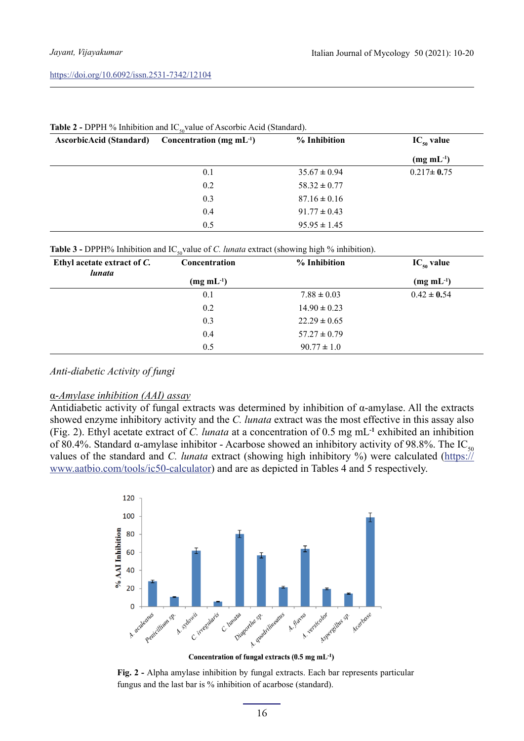| <b>AscorbicAcid (Standard)</b> | Concentration (mg mL $^{-1}$ ) | % Inhibition     | $IC_{50}$ value   |
|--------------------------------|--------------------------------|------------------|-------------------|
|                                |                                |                  | $(mg \, mL^{-1})$ |
|                                | 0.1                            | $35.67 \pm 0.94$ | $0.217 \pm 0.75$  |
|                                | 0.2                            | $58.32 \pm 0.77$ |                   |
|                                | 0.3                            | $87.16 \pm 0.16$ |                   |
|                                | 0.4                            | $91.77 \pm 0.43$ |                   |
|                                | 0.5                            | $95.95 \pm 1.45$ |                   |

#### **Table 2 - DPPH % Inhibition and IC** value of Ascorbic Acid (Standard).

| <b>Table 3 -</b> DPPH% Inhibition and IC <sub>50</sub> value of <i>C. lunata</i> extract (showing high % inhibition). |  |
|-----------------------------------------------------------------------------------------------------------------------|--|
|-----------------------------------------------------------------------------------------------------------------------|--|

| Ethyl acetate extract of C.<br><i>lunata</i> | Concentration     | % Inhibition     | $IC_{50}$ value   |
|----------------------------------------------|-------------------|------------------|-------------------|
|                                              | $(mg \, mL^{-1})$ |                  | $(mg \, mL^{-1})$ |
|                                              | 0.1               | $7.88 \pm 0.03$  | $0.42 \pm 0.54$   |
|                                              | 0.2               | $14.90 \pm 0.23$ |                   |
|                                              | 0.3               | $22.29 \pm 0.65$ |                   |
|                                              | 0.4               | $57.27 \pm 0.79$ |                   |
|                                              | 0.5               | $90.77 \pm 1.0$  |                   |

#### *Anti-diabetic Activity of fungi*

#### α-*Amylase inhibition (AAI) assay*

Antidiabetic activity of fungal extracts was determined by inhibition of α-amylase. All the extracts showed enzyme inhibitory activity and the *C. lunata* extract was the most effective in this assay also (Fig. 2). Ethyl acetate extract of *C. lunata* at a concentration of 0.5 mg mL**-1** exhibited an inhibition of 80.4%. Standard α-amylase inhibitor - Acarbose showed an inhibitory activity of 98.8%. The IC<sub>50</sub> values of the standard and *C. lunata* extract (showing high inhibitory %) were calculated [\(https://](https://www.aatbio.com/tools/ic50-calculator) [www.aatbio.com/tools/ic50-calculator\)](https://www.aatbio.com/tools/ic50-calculator) and are as depicted in Tables 4 and 5 respectively.



Concentration of fungal extracts (0.5 mg mL<sup>-1</sup>)

**Fig. 2 -** Alpha amylase inhibition by fungal extracts. Each bar represents particular fungus and the last bar is % inhibition of acarbose (standard).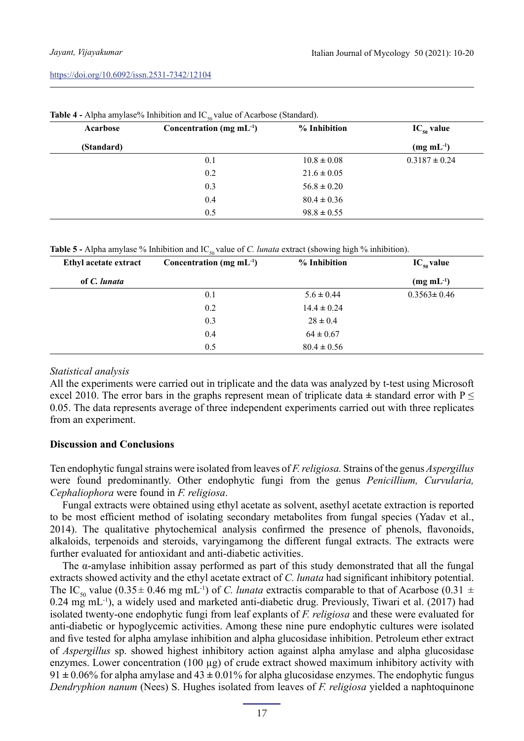| Acarbose   | Concentration (mg $mL^{-1}$ ) | % Inhibition    | $IC_{50}$ value   |
|------------|-------------------------------|-----------------|-------------------|
| (Standard) |                               |                 | $(mg \, mL^{-1})$ |
|            | 0.1                           | $10.8 \pm 0.08$ | $0.3187 \pm 0.24$ |
|            | 0.2                           | $21.6 \pm 0.05$ |                   |
|            | 0.3                           | $56.8 \pm 0.20$ |                   |
|            | 0.4                           | $80.4 \pm 0.36$ |                   |
|            | 0.5                           | $98.8 \pm 0.55$ |                   |

**Table 4 - Alpha amylase% Inhibition and IC** value of Acarbose (Standard).

| <b>Table 5 -</b> Alpha amylase % Inhibition and IC <sub>50</sub> value of C. <i>lunata</i> extract (showing high % inhibition). |  |  |
|---------------------------------------------------------------------------------------------------------------------------------|--|--|
|---------------------------------------------------------------------------------------------------------------------------------|--|--|

| Ethyl acetate extract | Concentration (mg $mL^{-1}$ ) | % Inhibition    | $IC_{50}$ value   |
|-----------------------|-------------------------------|-----------------|-------------------|
| of C. lunata          |                               |                 | $(mg \, mL^{-1})$ |
|                       | 0.1                           | $5.6 \pm 0.44$  | $0.3563 \pm 0.46$ |
|                       | 0.2                           | $14.4 \pm 0.24$ |                   |
|                       | 0.3                           | $28 \pm 0.4$    |                   |
|                       | 0.4                           | $64 \pm 0.67$   |                   |
|                       | 0.5                           | $80.4 \pm 0.56$ |                   |

#### *Statistical analysis*

All the experiments were carried out in triplicate and the data was analyzed by t-test using Microsoft excel 2010. The error bars in the graphs represent mean of triplicate data **±** standard error with P ≤ 0.05. The data represents average of three independent experiments carried out with three replicates from an experiment.

## **Discussion and Conclusions**

Ten endophytic fungal strains were isolated from leaves of *F. religiosa.* Strains of the genus *Aspergillus*  were found predominantly. Other endophytic fungi from the genus *Penicillium, Curvularia, Cephaliophora* were found in *F. religiosa*.

Fungal extracts were obtained using ethyl acetate as solvent, asethyl acetate extraction is reported to be most efficient method of isolating secondary metabolites from fungal species (Yadav et al., 2014). The qualitative phytochemical analysis confirmed the presence of phenols, flavonoids, alkaloids, terpenoids and steroids, varyingamong the different fungal extracts. The extracts were further evaluated for antioxidant and anti-diabetic activities.

The  $\alpha$ -amylase inhibition assay performed as part of this study demonstrated that all the fungal extracts showed activity and the ethyl acetate extract of *C. lunata* had significant inhibitory potential. The IC<sub>50</sub> value (0.35 $\pm$  0.46 mg mL<sup>-1</sup>) of *C. lunata* extractis comparable to that of Acarbose (0.31  $\pm$  $0.24 \text{ mg} \text{ mL}^{-1}$ ), a widely used and marketed anti-diabetic drug. Previously, Tiwari et al. (2017) had isolated twenty-one endophytic fungi from leaf explants of *F. religiosa* and these were evaluated for anti-diabetic or hypoglycemic activities. Among these nine pure endophytic cultures were isolated and five tested for alpha amylase inhibition and alpha glucosidase inhibition. Petroleum ether extract of *Aspergillus* sp. showed highest inhibitory action against alpha amylase and alpha glucosidase enzymes. Lower concentration (100 µg) of crude extract showed maximum inhibitory activity with 91 **±** 0.06% for alpha amylase and 43 **±** 0.01% for alpha glucosidase enzymes. The endophytic fungus *Dendryphion nanum* (Nees) S. Hughes isolated from leaves of *F. religiosa* yielded a naphtoquinone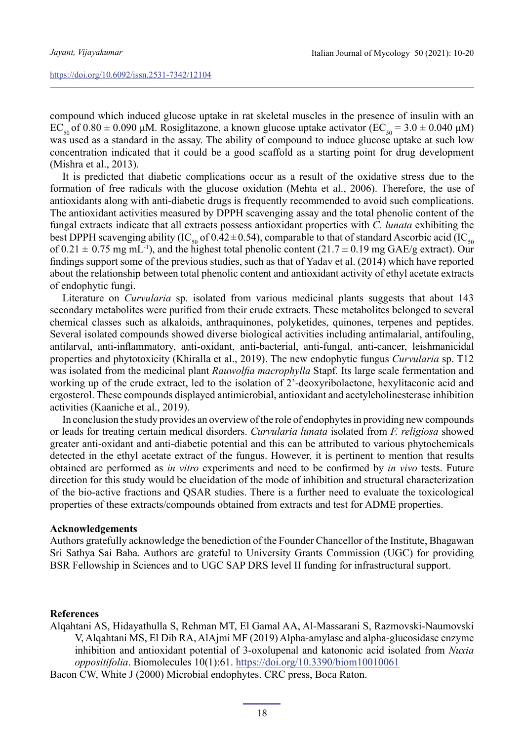compound which induced glucose uptake in rat skeletal muscles in the presence of insulin with an EC<sub>50</sub> of 0.80  $\pm$  0.090 μM. Rosiglitazone, a known glucose uptake activator (EC<sub>50</sub> = 3.0  $\pm$  0.040 μM) was used as a standard in the assay. The ability of compound to induce glucose uptake at such low concentration indicated that it could be a good scaffold as a starting point for drug development (Mishra et al., 2013).

It is predicted that diabetic complications occur as a result of the oxidative stress due to the formation of free radicals with the glucose oxidation (Mehta et al., 2006). Therefore, the use of antioxidants along with anti-diabetic drugs is frequently recommended to avoid such complications. The antioxidant activities measured by DPPH scavenging assay and the total phenolic content of the fungal extracts indicate that all extracts possess antioxidant properties with *C. lunata* exhibiting the best DPPH scavenging ability (IC<sub>50</sub> of 0.42±0.54), comparable to that of standard Ascorbic acid (IC<sub>50</sub> of  $0.21 \pm 0.75$  mg mL<sup>-1</sup>), and the highest total phenolic content  $(21.7 \pm 0.19$  mg GAE/g extract). Our findings support some of the previous studies, such as that of Yadav et al. (2014) which have reported about the relationship between total phenolic content and antioxidant activity of ethyl acetate extracts of endophytic fungi.

Literature on *Curvularia* sp. isolated from various medicinal plants suggests that about 143 secondary metabolites were purified from their crude extracts. These metabolites belonged to several chemical classes such as alkaloids, anthraquinones, polyketides, quinones, terpenes and peptides. Several isolated compounds showed diverse biological activities including antimalarial, antifouling, antilarval, anti-inflammatory, anti-oxidant, anti-bacterial, anti-fungal, anti-cancer, leishmanicidal properties and phytotoxicity (Khiralla et al., 2019). The new endophytic fungus *Curvularia* sp. T12 was isolated from the medicinal plant *Rauwolfia macrophylla* Stapf*.* Its large scale fermentation and working up of the crude extract, led to the isolation of 2'-deoxyribolactone, hexylitaconic acid and ergosterol. These compounds displayed antimicrobial, antioxidant and acetylcholinesterase inhibition activities (Kaaniche et al., 2019).

In conclusion the study provides an overview of the role of endophytes in providing new compounds or leads for treating certain medical disorders. *Curvularia lunata* isolated from *F. religiosa* showed greater anti-oxidant and anti-diabetic potential and this can be attributed to various phytochemicals detected in the ethyl acetate extract of the fungus. However, it is pertinent to mention that results obtained are performed as *in vitro* experiments and need to be confirmed by *in vivo* tests. Future direction for this study would be elucidation of the mode of inhibition and structural characterization of the bio-active fractions and QSAR studies. There is a further need to evaluate the toxicological properties of these extracts/compounds obtained from extracts and test for ADME properties.

### **Acknowledgements**

Authors gratefully acknowledge the benediction of the Founder Chancellor of the Institute, Bhagawan Sri Sathya Sai Baba. Authors are grateful to University Grants Commission (UGC) for providing BSR Fellowship in Sciences and to UGC SAP DRS level II funding for infrastructural support.

#### **References**

Alqahtani AS, Hidayathulla S, Rehman MT, El Gamal AA, Al-Massarani S, Razmovski-Naumovski V, Alqahtani MS, El Dib RA, AlAjmi MF (2019) Alpha-amylase and alpha-glucosidase enzyme inhibition and antioxidant potential of 3-oxolupenal and katononic acid isolated from *Nuxia oppositifolia*. Biomolecules 10(1):61.<https://doi.org/10.3390/biom10010061>

Bacon CW, White J (2000) Microbial endophytes. CRC press, Boca Raton.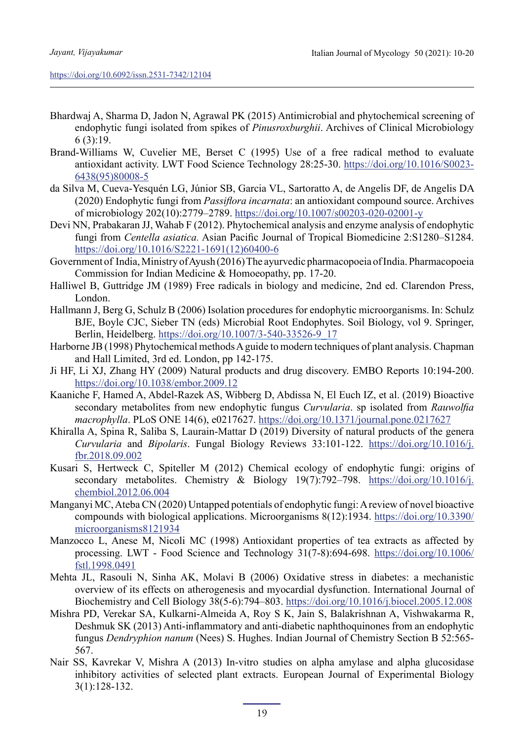- Bhardwaj A, Sharma D, Jadon N, Agrawal PK (2015) Antimicrobial and phytochemical screening of endophytic fungi isolated from spikes of *Pinusroxburghii*. Archives of Clinical Microbiology 6 (3):19.
- Brand-Williams W, Cuvelier ME, Berset C (1995) Use of a free radical method to evaluate antioxidant activity. LWT Food Science Technology 28:25-30. [https://doi.org/10.1016/S0023-](https://doi.org/10.1016/S0023-6438(95)80008-5) [6438\(95\)80008-5](https://doi.org/10.1016/S0023-6438(95)80008-5)
- da Silva M, Cueva-Yesquén LG, Júnior SB, Garcia VL, Sartoratto A, de Angelis DF, de Angelis DA (2020) Endophytic fungi from *Passiflora incarnata*: an antioxidant compound source. Archives of microbiology 202(10):2779–2789.<https://doi.org/10.1007/s00203-020-02001-y>
- Devi NN, Prabakaran JJ, Wahab F (2012). Phytochemical analysis and enzyme analysis of endophytic fungi from *Centella asiatica.* Asian Pacific Journal of Tropical Biomedicine 2:S1280–S1284. [https://doi.org/10.1016/S2221-1691\(12\)60400-6](file:///Users/federicarossi/Documents/1_AGRARIA/Micology/%20https:/doi.org/10.1016/S2221-1691(12)60400-6)
- Government of India, Ministry of Ayush (2016) The ayurvedic pharmacopoeia of India. Pharmacopoeia Commission for Indian Medicine & Homoeopathy, pp. 17-20.
- Halliwel B, Guttridge JM (1989) Free radicals in biology and medicine, 2nd ed. Clarendon Press, London.
- Hallmann J, Berg G, Schulz B (2006) Isolation procedures for endophytic microorganisms. In: Schulz BJE, Boyle CJC, Sieber TN (eds) Microbial Root Endophytes. Soil Biology, vol 9. Springer, Berlin, Heidelberg. [https://doi.org/10.1007/3-540-33526-9\\_17](https://doi.org/10.1007/3-540-33526-9_17)
- Harborne JB (1998) Phytochemical methods A guide to modern techniques of plant analysis. Chapman and Hall Limited, 3rd ed. London, pp 142-175.
- Ji HF, Li XJ, Zhang HY (2009) Natural products and drug discovery. EMBO Reports 10:194-200. <https://doi.org/10.1038/embor.2009.12>
- Kaaniche F, Hamed A, Abdel-Razek AS, Wibberg D, Abdissa N, El Euch IZ, et al. (2019) Bioactive secondary metabolites from new endophytic fungus *Curvularia*. sp isolated from *Rauwolfia macrophylla*. PLoS ONE 14(6), e0217627. <https://doi.org/10.1371/journal.pone.0217627>
- Khiralla A, Spina R, Saliba S, Laurain-Mattar D (2019) Diversity of natural products of the genera *Curvularia* and *Bipolaris*. Fungal Biology Reviews 33:101-122. [https://doi.org/10.1016/j.](https://doi.org/10.1016/j.fbr.2018.09.002) [fbr.2018.09.002](https://doi.org/10.1016/j.fbr.2018.09.002)
- Kusari S, Hertweck C, Spiteller M (2012) Chemical ecology of endophytic fungi: origins of secondary metabolites. Chemistry & Biology 19(7):792–798. [https://doi.org/10.1016/j.](https://doi.org/10.1016/j.chembiol.2012.06.004) [chembiol.2012.06.004](https://doi.org/10.1016/j.chembiol.2012.06.004)
- Manganyi MC, Ateba CN (2020) Untapped potentials of endophytic fungi: A review of novel bioactive compounds with biological applications. Microorganisms 8(12):1934. [https://doi.org/10.3390/](https://doi.org/10.3390/microorganisms8121934) [microorganisms8121934](https://doi.org/10.3390/microorganisms8121934)
- Manzocco L, Anese M, Nicoli MC (1998) Antioxidant properties of tea extracts as affected by processing. LWT - Food Science and Technology 31(7-8):694-698. [https://doi.org/10.1006/](https://doi.org/10.1006/fstl.1998.0491) [fstl.1998.0491](https://doi.org/10.1006/fstl.1998.0491)
- Mehta JL, Rasouli N, Sinha AK, Molavi B (2006) Oxidative stress in diabetes: a mechanistic overview of its effects on atherogenesis and myocardial dysfunction. International Journal of Biochemistry and Cell Biology 38(5-6):794–803.<https://doi.org/10.1016/j.biocel.2005.12.008>
- Mishra PD, Verekar SA, Kulkarni-Almeida A, Roy S K, Jain S, Balakrishnan A, Vishwakarma R, Deshmuk SK (2013) Anti-inflammatory and anti-diabetic naphthoquinones from an endophytic fungus *Dendryphion nanum* (Nees) S. Hughes. Indian Journal of Chemistry Section B 52:565- 567.
- Nair SS, Kavrekar V, Mishra A (2013) In-vitro studies on alpha amylase and alpha glucosidase inhibitory activities of selected plant extracts. European Journal of Experimental Biology 3(1):128-132.